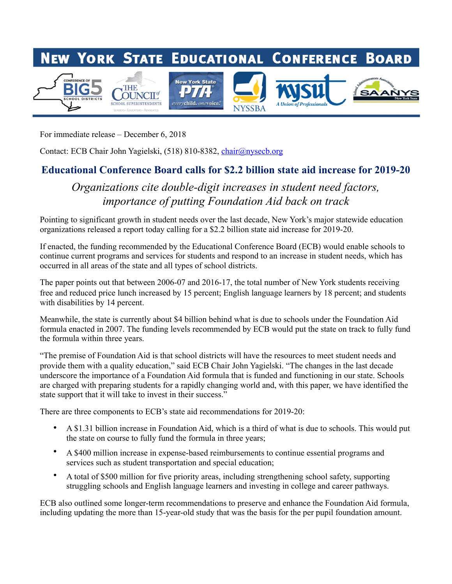

For immediate release – December 6, 2018

Contact: ECB Chair John Yagielski, (518) 810-8382, [chair@nysecb.org](mailto:chair@nysecb.org)

## Educational Conference Board calls for \$2.2 billion state aid increase for 2019-20

## *Organizations cite double-digit increases in student need factors, importance of putting Foundation Aid back on track*

Pointing to significant growth in student needs over the last decade, New York's major statewide education organizations released a report today calling for a \$2.2 billion state aid increase for 2019-20.

If enacted, the funding recommended by the Educational Conference Board (ECB) would enable schools to continue current programs and services for students and respond to an increase in student needs, which has occurred in all areas of the state and all types of school districts.

The paper points out that between 2006-07 and 2016-17, the total number of New York students receiving free and reduced price lunch increased by 15 percent; English language learners by 18 percent; and students with disabilities by 14 percent.

Meanwhile, the state is currently about \$4 billion behind what is due to schools under the Foundation Aid formula enacted in 2007. The funding levels recommended by ECB would put the state on track to fully fund the formula within three years.

"The premise of Foundation Aid is that school districts will have the resources to meet student needs and provide them with a quality education," said ECB Chair John Yagielski. "The changes in the last decade underscore the importance of a Foundation Aid formula that is funded and functioning in our state. Schools are charged with preparing students for a rapidly changing world and, with this paper, we have identified the state support that it will take to invest in their success."

There are three components to ECB's state aid recommendations for 2019-20:

- A \$1.31 billion increase in Foundation Aid, which is a third of what is due to schools. This would put the state on course to fully fund the formula in three years;
- A \$400 million increase in expense-based reimbursements to continue essential programs and services such as student transportation and special education;
- A total of \$500 million for five priority areas, including strengthening school safety, supporting struggling schools and English language learners and investing in college and career pathways.

ECB also outlined some longer-term recommendations to preserve and enhance the Foundation Aid formula, including updating the more than 15-year-old study that was the basis for the per pupil foundation amount.